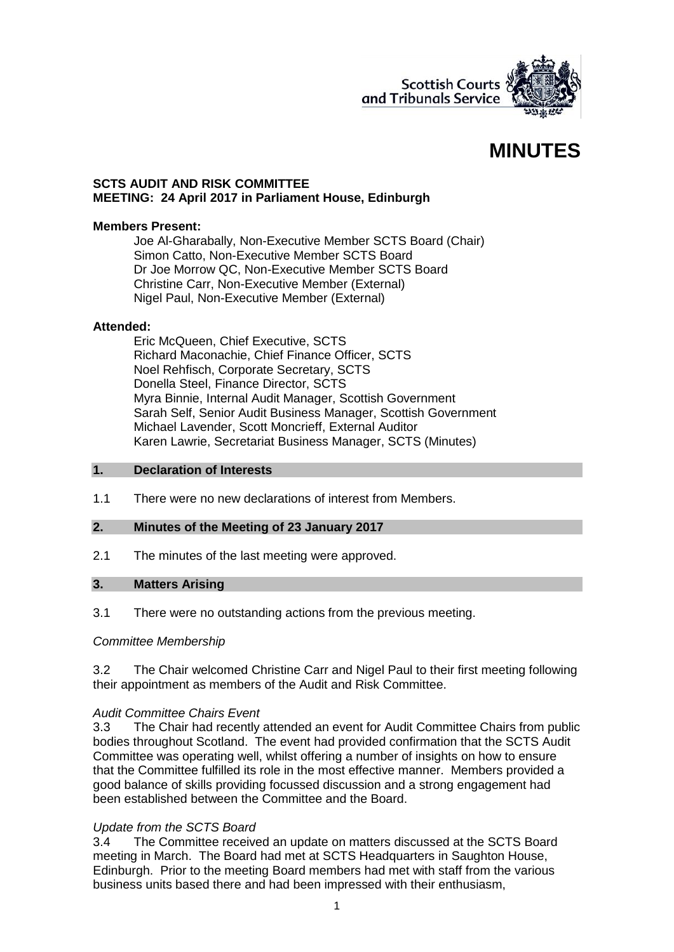

# **MINUTES**

## **SCTS AUDIT AND RISK COMMITTEE MEETING: 24 April 2017 in Parliament House, Edinburgh**

#### **Members Present:**

Joe Al-Gharabally, Non-Executive Member SCTS Board (Chair) Simon Catto, Non-Executive Member SCTS Board Dr Joe Morrow QC, Non-Executive Member SCTS Board Christine Carr, Non-Executive Member (External) Nigel Paul, Non-Executive Member (External)

## **Attended:**

Eric McQueen, Chief Executive, SCTS Richard Maconachie, Chief Finance Officer, SCTS Noel Rehfisch, Corporate Secretary, SCTS Donella Steel, Finance Director, SCTS Myra Binnie, Internal Audit Manager, Scottish Government Sarah Self, Senior Audit Business Manager, Scottish Government Michael Lavender, Scott Moncrieff, External Auditor Karen Lawrie, Secretariat Business Manager, SCTS (Minutes)

#### **1. Declaration of Interests**

1.1 There were no new declarations of interest from Members.

# **2. Minutes of the Meeting of 23 January 2017**

2.1 The minutes of the last meeting were approved.

#### **3. Matters Arising**

3.1 There were no outstanding actions from the previous meeting.

## *Committee Membership*

3.2 The Chair welcomed Christine Carr and Nigel Paul to their first meeting following their appointment as members of the Audit and Risk Committee.

## *Audit Committee Chairs Event*

3.3 The Chair had recently attended an event for Audit Committee Chairs from public bodies throughout Scotland. The event had provided confirmation that the SCTS Audit Committee was operating well, whilst offering a number of insights on how to ensure that the Committee fulfilled its role in the most effective manner. Members provided a good balance of skills providing focussed discussion and a strong engagement had been established between the Committee and the Board.

## *Update from the SCTS Board*

3.4 The Committee received an update on matters discussed at the SCTS Board meeting in March. The Board had met at SCTS Headquarters in Saughton House, Edinburgh. Prior to the meeting Board members had met with staff from the various business units based there and had been impressed with their enthusiasm,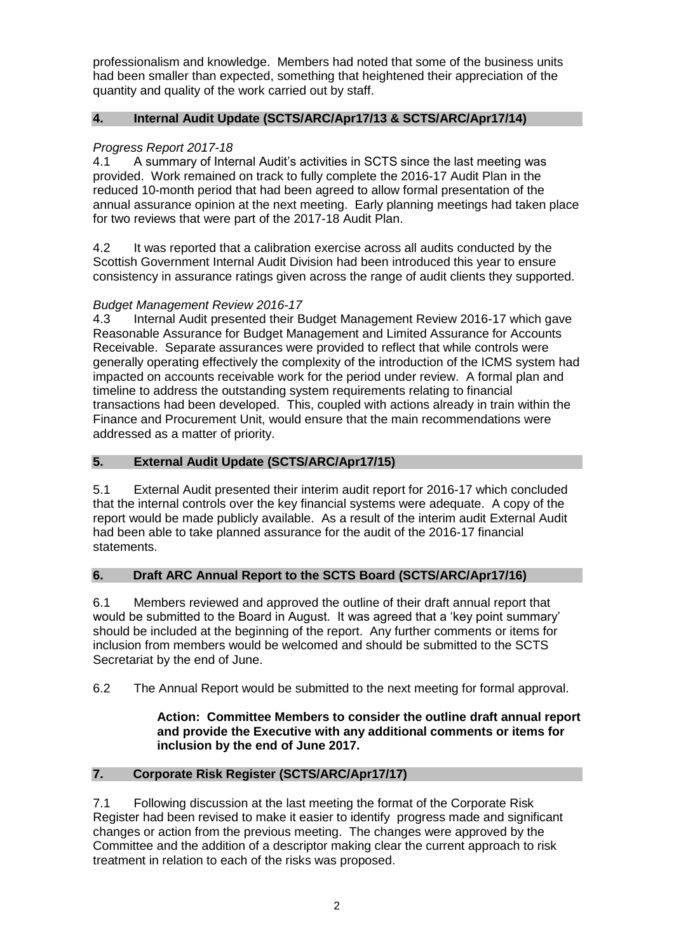professionalism and knowledge. Members had noted that some of the business units had been smaller than expected, something that heightened their appreciation of the quantity and quality of the work carried out by staff.

# **4. Internal Audit Update (SCTS/ARC/Apr17/13 & SCTS/ARC/Apr17/14)**

# *Progress Report 2017-18*

4.1 A summary of Internal Audit's activities in SCTS since the last meeting was provided. Work remained on track to fully complete the 2016-17 Audit Plan in the reduced 10-month period that had been agreed to allow formal presentation of the annual assurance opinion at the next meeting. Early planning meetings had taken place for two reviews that were part of the 2017-18 Audit Plan.

4.2 It was reported that a calibration exercise across all audits conducted by the Scottish Government Internal Audit Division had been introduced this year to ensure consistency in assurance ratings given across the range of audit clients they supported.

# *Budget Management Review 2016-17*

4.3 Internal Audit presented their Budget Management Review 2016-17 which gave Reasonable Assurance for Budget Management and Limited Assurance for Accounts Receivable. Separate assurances were provided to reflect that while controls were generally operating effectively the complexity of the introduction of the ICMS system had impacted on accounts receivable work for the period under review. A formal plan and timeline to address the outstanding system requirements relating to financial transactions had been developed. This, coupled with actions already in train within the Finance and Procurement Unit, would ensure that the main recommendations were addressed as a matter of priority.

# **5. External Audit Update (SCTS/ARC/Apr17/15)**

5.1 External Audit presented their interim audit report for 2016-17 which concluded that the internal controls over the key financial systems were adequate. A copy of the report would be made publicly available. As a result of the interim audit External Audit had been able to take planned assurance for the audit of the 2016-17 financial statements.

# **6. Draft ARC Annual Report to the SCTS Board (SCTS/ARC/Apr17/16)**

6.1 Members reviewed and approved the outline of their draft annual report that would be submitted to the Board in August. It was agreed that a 'key point summary' should be included at the beginning of the report. Any further comments or items for inclusion from members would be welcomed and should be submitted to the SCTS Secretariat by the end of June.

6.2 The Annual Report would be submitted to the next meeting for formal approval.

## **Action: Committee Members to consider the outline draft annual report and provide the Executive with any additional comments or items for inclusion by the end of June 2017.**

# **7. Corporate Risk Register (SCTS/ARC/Apr17/17)**

7.1 Following discussion at the last meeting the format of the Corporate Risk Register had been revised to make it easier to identify progress made and significant changes or action from the previous meeting. The changes were approved by the Committee and the addition of a descriptor making clear the current approach to risk treatment in relation to each of the risks was proposed.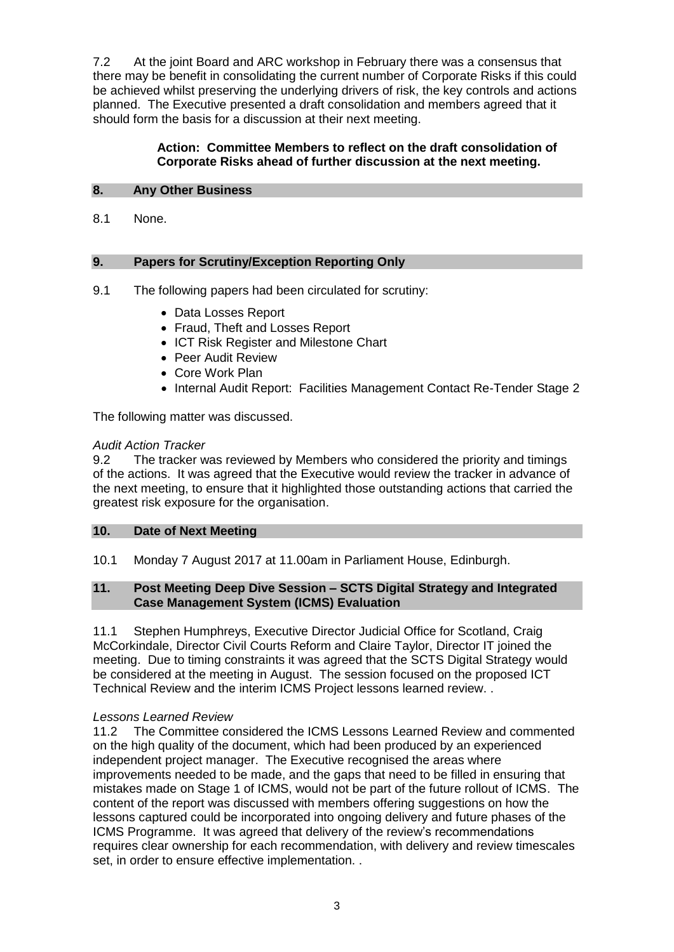7.2 At the joint Board and ARC workshop in February there was a consensus that there may be benefit in consolidating the current number of Corporate Risks if this could be achieved whilst preserving the underlying drivers of risk, the key controls and actions planned. The Executive presented a draft consolidation and members agreed that it should form the basis for a discussion at their next meeting.

## **Action: Committee Members to reflect on the draft consolidation of Corporate Risks ahead of further discussion at the next meeting.**

## **8. Any Other Business**

8.1 None.

# **9. Papers for Scrutiny/Exception Reporting Only**

- 9.1 The following papers had been circulated for scrutiny:
	- Data Losses Report
	- Fraud, Theft and Losses Report
	- ICT Risk Register and Milestone Chart
	- Peer Audit Review
	- Core Work Plan
	- Internal Audit Report: Facilities Management Contact Re-Tender Stage 2

The following matter was discussed.

## *Audit Action Tracker*

9.2 The tracker was reviewed by Members who considered the priority and timings of the actions. It was agreed that the Executive would review the tracker in advance of the next meeting, to ensure that it highlighted those outstanding actions that carried the greatest risk exposure for the organisation.

## **10. Date of Next Meeting**

10.1 Monday 7 August 2017 at 11.00am in Parliament House, Edinburgh.

## **11. Post Meeting Deep Dive Session – SCTS Digital Strategy and Integrated Case Management System (ICMS) Evaluation**

11.1 Stephen Humphreys, Executive Director Judicial Office for Scotland, Craig McCorkindale, Director Civil Courts Reform and Claire Taylor, Director IT joined the meeting. Due to timing constraints it was agreed that the SCTS Digital Strategy would be considered at the meeting in August. The session focused on the proposed ICT Technical Review and the interim ICMS Project lessons learned review. .

## *Lessons Learned Review*

11.2 The Committee considered the ICMS Lessons Learned Review and commented on the high quality of the document, which had been produced by an experienced independent project manager. The Executive recognised the areas where improvements needed to be made, and the gaps that need to be filled in ensuring that mistakes made on Stage 1 of ICMS, would not be part of the future rollout of ICMS. The content of the report was discussed with members offering suggestions on how the lessons captured could be incorporated into ongoing delivery and future phases of the ICMS Programme. It was agreed that delivery of the review's recommendations requires clear ownership for each recommendation, with delivery and review timescales set, in order to ensure effective implementation. .